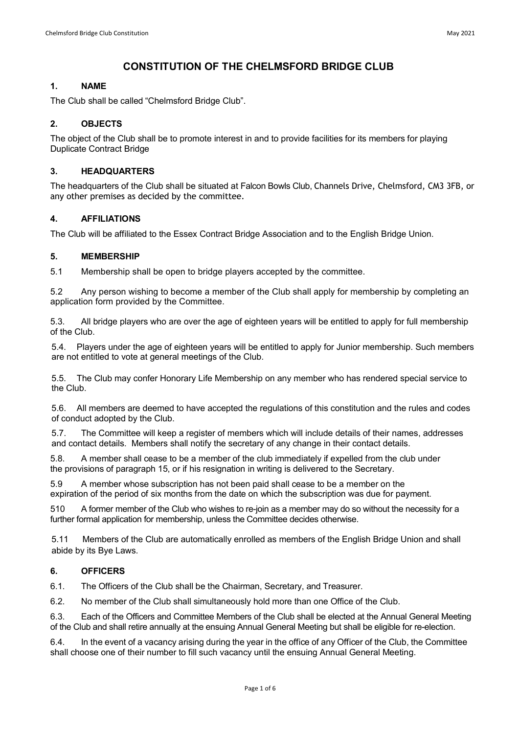# **CONSTITUTION OF THE CHELMSFORD BRIDGE CLUB**

# **1. NAME**

The Club shall be called "Chelmsford Bridge Club".

# **2. OBJECTS**

The object of the Club shall be to promote interest in and to provide facilities for its members for playing Duplicate Contract Bridge

### **3. HEADQUARTERS**

The headquarters of the Club shall be situated at Falcon Bowls Club, Channels Drive, Chelmsford, CM3 3FB, or any other premises as decided by the committee.

# **4. AFFILIATIONS**

The Club will be affiliated to the Essex Contract Bridge Association and to the English Bridge Union.

# **5. MEMBERSHIP**

5.1 Membership shall be open to bridge players accepted by the committee.

5.2 Any person wishing to become a member of the Club shall apply for membership by completing an application form provided by the Committee.

5.3. All bridge players who are over the age of eighteen years will be entitled to apply for full membership of the Club.

5.4. Players under the age of eighteen years will be entitled to apply for Junior membership. Such members are not entitled to vote at general meetings of the Club.

5.5. The Club may confer Honorary Life Membership on any member who has rendered special service to the Club.

5.6. All members are deemed to have accepted the regulations of this constitution and the rules and codes of conduct adopted by the Club.

5.7. The Committee will keep a register of members which will include details of their names, addresses and contact details. Members shall notify the secretary of any change in their contact details.

5.8. A member shall cease to be a member of the club immediately if expelled from the club under the provisions of paragraph 15, or if his resignation in writing is delivered to the Secretary.

5.9 A member whose subscription has not been paid shall cease to be a member on the expiration of the period of six months from the date on which the subscription was due for payment.

510 A former member of the Club who wishes to re-join as a member may do so without the necessity for a further formal application for membership, unless the Committee decides otherwise.

5.11 Members of the Club are automatically enrolled as members of the English Bridge Union and shall abide by its Bye Laws.

#### **6. OFFICERS**

6.1. The Officers of the Club shall be the Chairman, Secretary, and Treasurer.

6.2. No member of the Club shall simultaneously hold more than one Office of the Club.

6.3. Each of the Officers and Committee Members of the Club shall be elected at the Annual General Meeting of the Club and shall retire annually at the ensuing Annual General Meeting but shall be eligible for re-election.

6.4. In the event of a vacancy arising during the year in the office of any Officer of the Club, the Committee shall choose one of their number to fill such vacancy until the ensuing Annual General Meeting.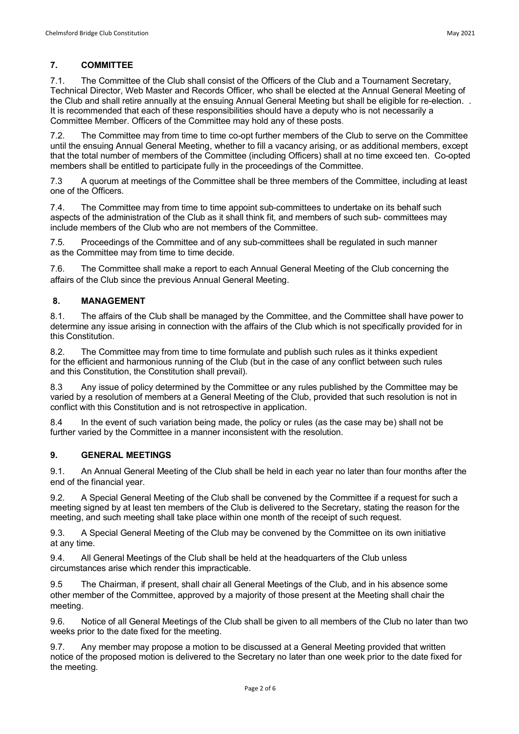7.1. The Committee of the Club shall consist of the Officers of the Club and a Tournament Secretary, Technical Director, Web Master and Records Officer, who shall be elected at the Annual General Meeting of the Club and shall retire annually at the ensuing Annual General Meeting but shall be eligible for re-election. . It is recommended that each of these responsibilities should have a deputy who is not necessarily a Committee Member. Officers of the Committee may hold any of these posts.

7.2. The Committee may from time to time co-opt further members of the Club to serve on the Committee until the ensuing Annual General Meeting, whether to fill a vacancy arising, or as additional members, except that the total number of members of the Committee (including Officers) shall at no time exceed ten. Co-opted members shall be entitled to participate fully in the proceedings of the Committee.

7.3 A quorum at meetings of the Committee shall be three members of the Committee, including at least one of the Officers.

7.4. The Committee may from time to time appoint sub-committees to undertake on its behalf such aspects of the administration of the Club as it shall think fit, and members of such sub- committees may include members of the Club who are not members of the Committee.

7.5. Proceedings of the Committee and of any sub-committees shall be regulated in such manner as the Committee may from time to time decide.

7.6. The Committee shall make a report to each Annual General Meeting of the Club concerning the affairs of the Club since the previous Annual General Meeting.

# **8. MANAGEMENT**

8.1. The affairs of the Club shall be managed by the Committee, and the Committee shall have power to determine any issue arising in connection with the affairs of the Club which is not specifically provided for in this Constitution.

8.2. The Committee may from time to time formulate and publish such rules as it thinks expedient for the efficient and harmonious running of the Club (but in the case of any conflict between such rules and this Constitution, the Constitution shall prevail).

8.3 Any issue of policy determined by the Committee or any rules published by the Committee may be varied by a resolution of members at a General Meeting of the Club, provided that such resolution is not in conflict with this Constitution and is not retrospective in application.

8.4 In the event of such variation being made, the policy or rules (as the case may be) shall not be further varied by the Committee in a manner inconsistent with the resolution.

# **9. GENERAL MEETINGS**

9.1. An Annual General Meeting of the Club shall be held in each year no later than four months after the end of the financial year.

9.2. A Special General Meeting of the Club shall be convened by the Committee if a request for such a meeting signed by at least ten members of the Club is delivered to the Secretary, stating the reason for the meeting, and such meeting shall take place within one month of the receipt of such request.

9.3. A Special General Meeting of the Club may be convened by the Committee on its own initiative at any time.

9.4. All General Meetings of the Club shall be held at the headquarters of the Club unless circumstances arise which render this impracticable.

9.5 The Chairman, if present, shall chair all General Meetings of the Club, and in his absence some other member of the Committee, approved by a majority of those present at the Meeting shall chair the meeting.

9.6. Notice of all General Meetings of the Club shall be given to all members of the Club no later than two weeks prior to the date fixed for the meeting.

9.7. Any member may propose a motion to be discussed at a General Meeting provided that written notice of the proposed motion is delivered to the Secretary no later than one week prior to the date fixed for the meeting.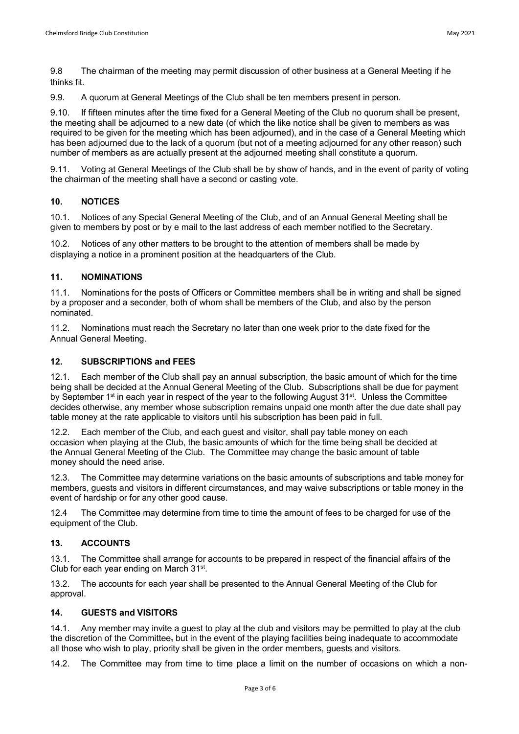9.9. A quorum at General Meetings of the Club shall be ten members present in person.

9.10. If fifteen minutes after the time fixed for a General Meeting of the Club no quorum shall be present, the meeting shall be adjourned to a new date (of which the like notice shall be given to members as was required to be given for the meeting which has been adjourned), and in the case of a General Meeting which has been adjourned due to the lack of a quorum (but not of a meeting adjourned for any other reason) such number of members as are actually present at the adjourned meeting shall constitute a quorum.

9.11. Voting at General Meetings of the Club shall be by show of hands, and in the event of parity of voting the chairman of the meeting shall have a second or casting vote.

# **10. NOTICES**

10.1. Notices of any Special General Meeting of the Club, and of an Annual General Meeting shall be given to members by post or by e mail to the last address of each member notified to the Secretary.

10.2. Notices of any other matters to be brought to the attention of members shall be made by displaying a notice in a prominent position at the headquarters of the Club.

# **11. NOMINATIONS**

11.1. Nominations for the posts of Officers or Committee members shall be in writing and shall be signed by a proposer and a seconder, both of whom shall be members of the Club, and also by the person nominated.

11.2. Nominations must reach the Secretary no later than one week prior to the date fixed for the Annual General Meeting.

# **12. SUBSCRIPTIONS and FEES**

12.1. Each member of the Club shall pay an annual subscription, the basic amount of which for the time being shall be decided at the Annual General Meeting of the Club. Subscriptions shall be due for payment by September 1<sup>st</sup> in each year in respect of the year to the following August 31<sup>st</sup>. Unless the Committee decides otherwise, any member whose subscription remains unpaid one month after the due date shall pay table money at the rate applicable to visitors until his subscription has been paid in full.

12.2. Each member of the Club, and each guest and visitor, shall pay table money on each occasion when playing at the Club, the basic amounts of which for the time being shall be decided at the Annual General Meeting of the Club. The Committee may change the basic amount of table money should the need arise.

12.3. The Committee may determine variations on the basic amounts of subscriptions and table money for members, guests and visitors in different circumstances, and may waive subscriptions or table money in the event of hardship or for any other good cause.

12.4 The Committee may determine from time to time the amount of fees to be charged for use of the equipment of the Club.

#### **13. ACCOUNTS**

13.1. The Committee shall arrange for accounts to be prepared in respect of the financial affairs of the Club for each year ending on March 31st.

13.2. The accounts for each year shall be presented to the Annual General Meeting of the Club for approval.

#### **14. GUESTS and VISITORS**

14.1. Any member may invite a guest to play at the club and visitors may be permitted to play at the club the discretion of the Committee, but in the event of the playing facilities being inadequate to accommodate all those who wish to play, priority shall be given in the order members, guests and visitors.

14.2. The Committee may from time to time place a limit on the number of occasions on which a non-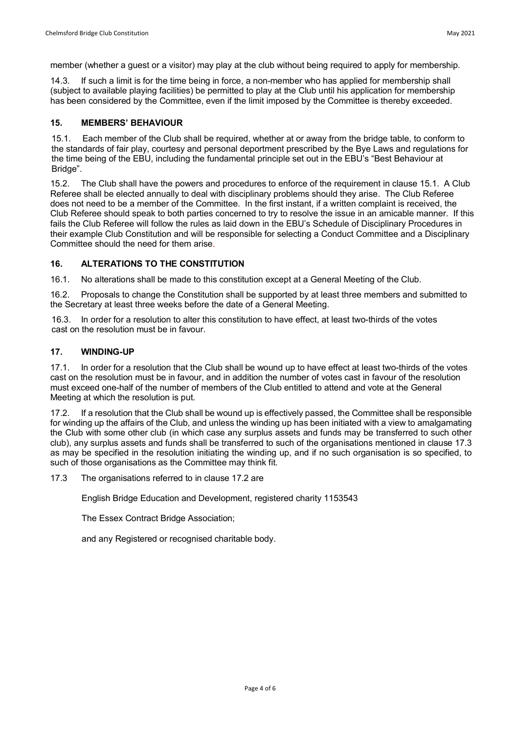member (whether a guest or a visitor) may play at the club without being required to apply for membership.

14.3. If such a limit is for the time being in force, a non-member who has applied for membership shall (subject to available playing facilities) be permitted to play at the Club until his application for membership has been considered by the Committee, even if the limit imposed by the Committee is thereby exceeded.

#### **15. MEMBERS' BEHAVIOUR**

15.1. Each member of the Club shall be required, whether at or away from the bridge table, to conform to the standards of fair play, courtesy and personal deportment prescribed by the Bye Laws and regulations for the time being of the EBU, including the fundamental principle set out in the EBU's "Best Behaviour at Bridge".

15.2. The Club shall have the powers and procedures to enforce of the requirement in clause 15.1. A Club Referee shall be elected annually to deal with disciplinary problems should they arise. The Club Referee does not need to be a member of the Committee. In the first instant, if a written complaint is received, the Club Referee should speak to both parties concerned to try to resolve the issue in an amicable manner. If this fails the Club Referee will follow the rules as laid down in the EBU's Schedule of Disciplinary Procedures in their example Club Constitution and will be responsible for selecting a Conduct Committee and a Disciplinary Committee should the need for them arise.

# **16. ALTERATIONS TO THE CONSTITUTION**

16.1. No alterations shall be made to this constitution except at a General Meeting of the Club.

16.2. Proposals to change the Constitution shall be supported by at least three members and submitted to the Secretary at least three weeks before the date of a General Meeting.

16.3. In order for a resolution to alter this constitution to have effect, at least two-thirds of the votes cast on the resolution must be in favour.

#### **17. WINDING-UP**

17.1. In order for a resolution that the Club shall be wound up to have effect at least two-thirds of the votes cast on the resolution must be in favour, and in addition the number of votes cast in favour of the resolution must exceed one-half of the number of members of the Club entitled to attend and vote at the General Meeting at which the resolution is put.

17.2. If a resolution that the Club shall be wound up is effectively passed, the Committee shall be responsible for winding up the affairs of the Club, and unless the winding up has been initiated with a view to amalgamating the Club with some other club (in which case any surplus assets and funds may be transferred to such other club), any surplus assets and funds shall be transferred to such of the organisations mentioned in clause 17.3 as may be specified in the resolution initiating the winding up, and if no such organisation is so specified, to such of those organisations as the Committee may think fit.

17.3 The organisations referred to in clause 17.2 are

English Bridge Education and Development, registered charity 1153543

The Essex Contract Bridge Association;

and any Registered or recognised charitable body.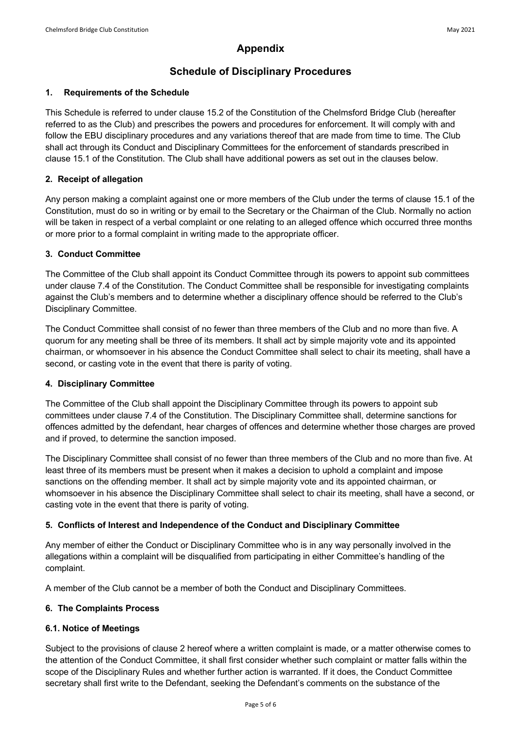# **Schedule of Disciplinary Procedures**

# **1. Requirements of the Schedule**

This Schedule is referred to under clause 15.2 of the Constitution of the Chelmsford Bridge Club (hereafter referred to as the Club) and prescribes the powers and procedures for enforcement. It will comply with and follow the EBU disciplinary procedures and any variations thereof that are made from time to time. The Club shall act through its Conduct and Disciplinary Committees for the enforcement of standards prescribed in clause 15.1 of the Constitution. The Club shall have additional powers as set out in the clauses below.

# **2. Receipt of allegation**

Any person making a complaint against one or more members of the Club under the terms of clause 15.1 of the Constitution, must do so in writing or by email to the Secretary or the Chairman of the Club. Normally no action will be taken in respect of a verbal complaint or one relating to an alleged offence which occurred three months or more prior to a formal complaint in writing made to the appropriate officer.

# **3. Conduct Committee**

The Committee of the Club shall appoint its Conduct Committee through its powers to appoint sub committees under clause 7.4 of the Constitution. The Conduct Committee shall be responsible for investigating complaints against the Club's members and to determine whether a disciplinary offence should be referred to the Club's Disciplinary Committee.

The Conduct Committee shall consist of no fewer than three members of the Club and no more than five. A quorum for any meeting shall be three of its members. It shall act by simple majority vote and its appointed chairman, or whomsoever in his absence the Conduct Committee shall select to chair its meeting, shall have a second, or casting vote in the event that there is parity of voting.

# **4. Disciplinary Committee**

The Committee of the Club shall appoint the Disciplinary Committee through its powers to appoint sub committees under clause 7.4 of the Constitution. The Disciplinary Committee shall, determine sanctions for offences admitted by the defendant, hear charges of offences and determine whether those charges are proved and if proved, to determine the sanction imposed.

The Disciplinary Committee shall consist of no fewer than three members of the Club and no more than five. At least three of its members must be present when it makes a decision to uphold a complaint and impose sanctions on the offending member. It shall act by simple majority vote and its appointed chairman, or whomsoever in his absence the Disciplinary Committee shall select to chair its meeting, shall have a second, or casting vote in the event that there is parity of voting.

# **5. Conflicts of Interest and Independence of the Conduct and Disciplinary Committee**

Any member of either the Conduct or Disciplinary Committee who is in any way personally involved in the allegations within a complaint will be disqualified from participating in either Committee's handling of the complaint.

A member of the Club cannot be a member of both the Conduct and Disciplinary Committees.

#### **6. The Complaints Process**

#### **6.1. Notice of Meetings**

Subject to the provisions of clause 2 hereof where a written complaint is made, or a matter otherwise comes to the attention of the Conduct Committee, it shall first consider whether such complaint or matter falls within the scope of the Disciplinary Rules and whether further action is warranted. If it does, the Conduct Committee secretary shall first write to the Defendant, seeking the Defendant's comments on the substance of the